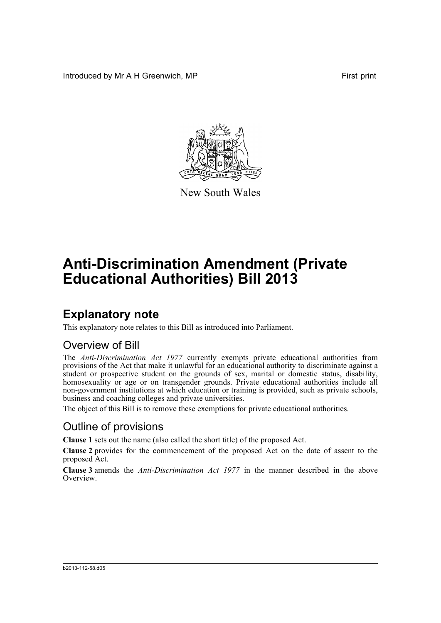Introduced by Mr A H Greenwich, MP **First** print



New South Wales

# **Anti-Discrimination Amendment (Private Educational Authorities) Bill 2013**

## **Explanatory note**

This explanatory note relates to this Bill as introduced into Parliament.

#### Overview of Bill

The *Anti-Discrimination Act 1977* currently exempts private educational authorities from provisions of the Act that make it unlawful for an educational authority to discriminate against a student or prospective student on the grounds of sex, marital or domestic status, disability, homosexuality or age or on transgender grounds. Private educational authorities include all non-government institutions at which education or training is provided, such as private schools, business and coaching colleges and private universities.

The object of this Bill is to remove these exemptions for private educational authorities.

#### Outline of provisions

**Clause 1** sets out the name (also called the short title) of the proposed Act.

**Clause 2** provides for the commencement of the proposed Act on the date of assent to the proposed Act.

**Clause 3** amends the *Anti-Discrimination Act 1977* in the manner described in the above **Overview**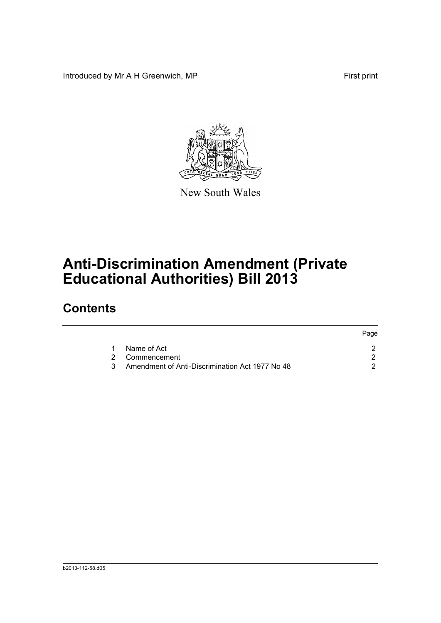Introduced by Mr A H Greenwich, MP First print

Page



New South Wales

# **Anti-Discrimination Amendment (Private Educational Authorities) Bill 2013**

## **Contents**

|    |                                                 | raye |
|----|-------------------------------------------------|------|
|    | Name of Act                                     |      |
|    | 2 Commencement                                  |      |
| 3. | Amendment of Anti-Discrimination Act 1977 No 48 |      |
|    |                                                 |      |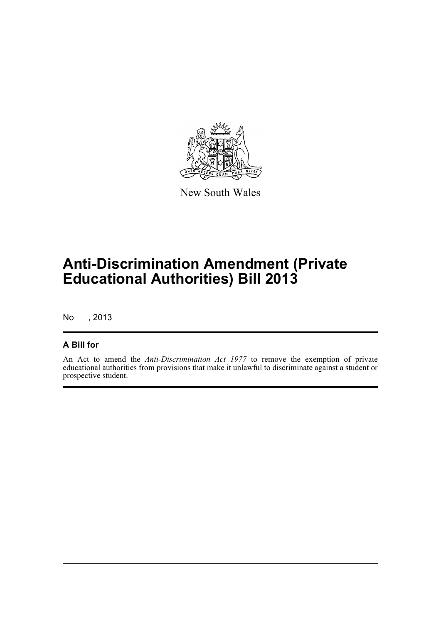

New South Wales

# **Anti-Discrimination Amendment (Private Educational Authorities) Bill 2013**

No , 2013

#### **A Bill for**

An Act to amend the *Anti-Discrimination Act 1977* to remove the exemption of private educational authorities from provisions that make it unlawful to discriminate against a student or prospective student.